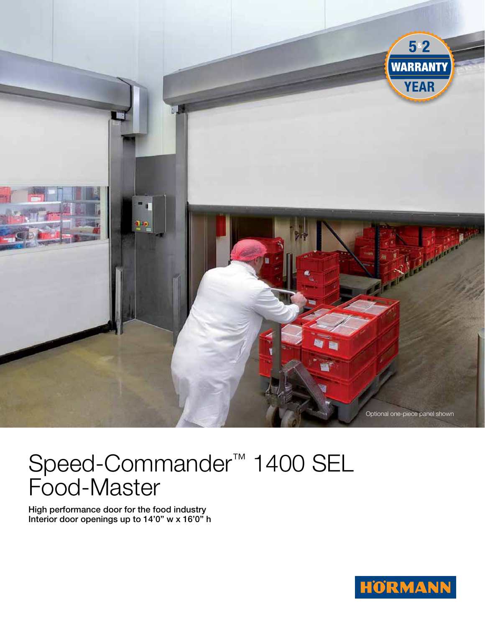

# Speed-Commander<sup>™</sup> 1400 SEL Food-Master

High performance door for the food industry Interior door openings up to 14'0" w x 16'0" h